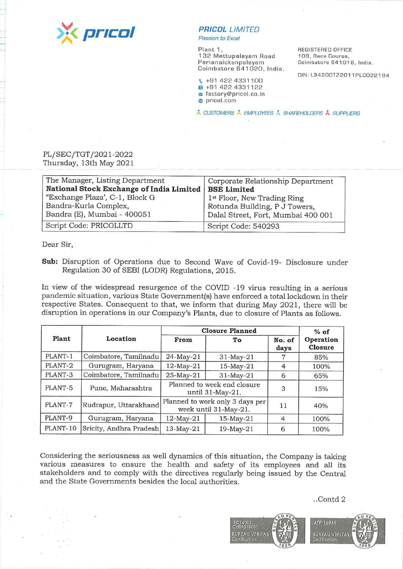

## **PR/COL** LIMITED

Passion ta Excel

Plant 1, 132 Mettupalayam Road Perianaickenpalayam Coimbatore 641020, India.

REGISTERED OFFICE 109, Race Course, Coimbatore 641018, India.

CIN: L34200TZ2011 PLC022194

\ +91 422 4331100 **1ml** +91 422 4331122 i:,, factory@pricol.co .in ~ prico/. com

\* CUSTOMERS \* EMPLOYEES \* SHAREHOLDERS \* SUPPLIERS

## PL/SEC/TGT /2021-2022 Thursday, 13th May 2021

| The Manager, Listing Department<br>National Stock Exchange of India Limited   BSE Limited | Corporate Relationship Department                                                                              |  |
|-------------------------------------------------------------------------------------------|----------------------------------------------------------------------------------------------------------------|--|
| "Exchange Plaza', C-1, Block G<br>Bandra-Kurla Complex,<br>Bandra (E), Mumbai - 400051    | 1 <sup>st</sup> Floor, New Trading Ring<br>Rotunda Building, P J Towers,<br>Dalal Street, Fort, Mumbai 400 001 |  |
| Script Code: PRICOLLTD                                                                    | Script Code: 540293                                                                                            |  |

Dear Sir,

**Sub:** Disruption of Operations due to Second Wave of Covid-19- Disclosure under Regulation 30 of SEBI (LODR) Regulations, 2015.

In view of the widespread resurgence of the COVID -19 virus resulting in a serious· pandemic situation, various State Govemment(s) have enforced a total lockdown in their respective States. Consequent to that, we inform that during May 2021, there will be disruption in operations in our Company's Plants, due to closure of Plants as follows.

| Plant    | Location                | <b>Closure Planned</b>                                   |                 |                | $%$ of               |
|----------|-------------------------|----------------------------------------------------------|-----------------|----------------|----------------------|
|          |                         | From                                                     | To              | No. of<br>days | Operation<br>Closure |
| PLANT-1  | Coimbatore, Tamilnadu   | 24-May-21                                                | $31$ -May- $21$ |                | 85%                  |
| PLANT-2  | Gurugram, Haryana       | 12-May-21                                                | 15-May-21       | $\overline{4}$ | 100%                 |
| PLANT-3  | Coimbatore, Tamilnadu   | 25-May-21                                                | $31$ -May-21    | 6              | 65%                  |
| PLANT-5  | Pune, Maharashtra       | Planned to week end closure<br>until 31-May-21.          |                 | 3              | 15%                  |
| PLANT-7  | Rudrapur, Uttarakhand   | Planned to work only 3 days per<br>week until 31-May-21. |                 | 11             | 40%                  |
| PLANT-9  | Gurugram, Haryana       | 12-May-21                                                | $15$ -May- $21$ | 4              | 100%                 |
| PLANT-10 | Sricity, Andhra Pradesh | 13-May-21                                                | 19-May-21       | 6              | 100%                 |

Considering the seriousness as well dynamics of this situation, the Company is taking various measures to ensure the health and safety of its employees and all its stakeholders and to comply with the directives regularly being issued by the Central and the State Governments besides the local authorities.

..Contd 2